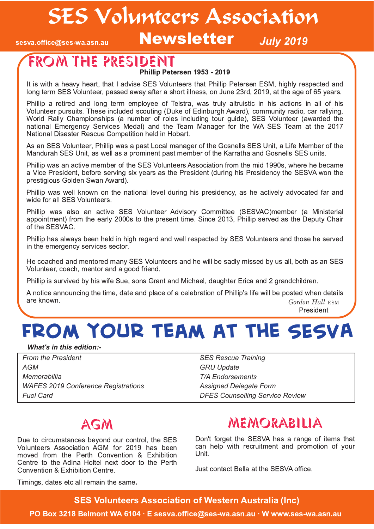SES Volunteers Association

sesva.office@ses-wa.asn.au

**Newsletter** *July* 2019

# From the President

Phillip Petersen 1953 - 2019

It is with a heavy heart, that I advise SES Volunteers that Phillip Petersen ESM, highly respected and long term SES Volunteer, passed away after a short illness, on June 23rd, 2019, at the age of 65 years.

Phillip a retired and long term employee of Telstra, was truly altruistic in his actions in all of his Volunteer pursuits. These included scouting (Duke of Edinburgh Award), community radio, car rallying, World Rally Championships (a number of roles including tour guide), SES Volunteer (awarded the national Emergency Services Medal) and the Team Manager for the WA SES Team at the 2017 National Disaster Rescue Competition held in Hobart.

As an SES Volunteer, Phillip was a past Local manager of the Gosnells SES Unit, a Life Member of the Mandurah SES Unit, as well as a prominent past member of the Karratha and Gosnells SES units.

Phillip was an active member of the SES Volunteers Association from the mid 1990s, where he became a Vice President, before serving six years as the President (during his Presidency the SESVA won the prestigious Golden Swan Award).

Phillip was well known on the national level during his presidency, as he actively advocated far and wide for all SES Volunteers.

Phillip was also an active SES Volunteer Advisory Committee (SESVAC)member (a Ministerial appointment) from the early 2000s to the present time. Since 2013, Phillip served as the Deputy Chair of the SESVAC.

Phillip has always been held in high regard and well respected by SES Volunteers and those he served in the emergency services sector.

He coached and mentored many SES Volunteers and he will be sadly missed by us all, both as an SES Volunteer, coach, mentor and a good friend.

Phillip is survived by his wife Sue, sons Grant and Michael, daughter Erica and 2 grandchildren.

*Gordon Hall* ESM President A notice announcing the time, date and place of a celebration of Phillip's life will be posted when details are known.

**From your team at the SESVA**

#### *What's in this edition:*

*From the President AGM Memorabillia WAFES 2019 Conference Registrations Fuel Card*

*SES Rescue Training GRU Update T/A Endorsements Assigned Delegate Form DFES Counselling Service Review*

## AGM

Due to circumstances beyond our control, the SES Volunteers Association AGM for 2019 has been moved from the Perth Convention & Exhibition Centre to the Adina Holtel next door to the Perth Convention & Exhibition Centre.

## memorabilia

Don't forget the SESVA has a range of items that can help with recruitment and promotion of your Unit.

Just contact Bella at the SESVA office.

Timings, dates etc all remain the same.

**SES Volunteers Association of Western Australia (Inc)** 

PO Box 3218 Belmont WA 6104 · E sesva.office@ses-wa.asn.au · W www.ses-wa.asn.au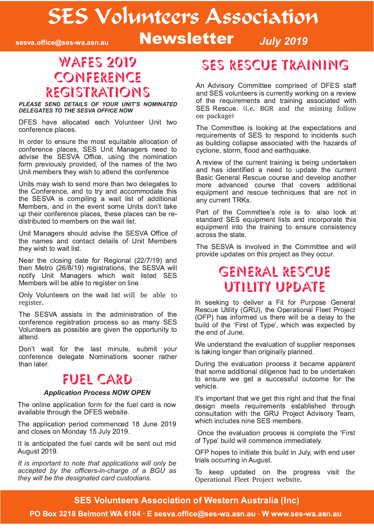# SES Volunteers Association

sesva.office@ses-wa.asn.au

**Newsletter** *July* 2019

#### **WAFES 2019** Conference registrations

*PLEASE SEND DETAILS OF YOUR UNIT'S NOMINATED DELEGATES TO THE SESVA OFFICE NOW*

DFES have allocated each Volunteer Unit two conference places.

In order to ensure the most equitable allocation of conference places, SES Unit Managers need to advise the SESVA Office, using the nomination form previously provided, of the names of the two Unit members they wish to attend the conference

Units may wish to send more than two delegates to the Conference, and to try and accommodate this the SESVA is compiling a wait list of additional Members, and in the event some Units don't take up their conference places, these places can be redistributed to members on the wait list.

Unit Managers should advise the SESVA Office of the names and contact details of Unit Members they wish to wait list.

Near the closing date for Regional (22/7/19) and then Metro (26/8/19) registrations, the SESVA will notify Unit Managers which wait listed SES Members will be able to register on line.

Only Volunteers on the wait list will be able to register.

The SESVA assists in the administration of the conference registration process so as many SES Volunteers as possible are given the opportunity to attend.

Don't wait for the last minute, submit your conference delegate Nominations sooner rather than later.

#### fuel card

#### *Application Process NOW OPEN*

The online application form for the fuel card is now available through the DFES website.

The application period commenced 18 June 2019 and closes on Monday 15 July 2019.

It is anticipated the fuel cards will be sent out mid August 2019.

*It is important to note that applications will only be accepted by the officersincharge of a BGU as they will be the designated card custodians.*

## ses rescue training

An Advisory Committee comprised of DFES staff and SES volunteers is currently working on a review of the requirements and training associated with SES Rescue. (i.e. BGR and the missing follow on package)

The Committee is looking at the expectations and requirements of SES to respond to incidents such as building collapse associated with the hazards of cyclone, storm, flood and earthquake.

A review of the current training is being undertaken and has identified a need to update the current Basic General Rescue course and develop another more advanced course that covers additional equipment and rescue techniques that are not in any current TRKs.

Part of the Committee's role is to also look at standard SES equipment lists and incorporate this equipment into the training to ensure consistency across the state.

The SESVA is involved in the Committee and will provide updates on this project as they occur.

#### General Rescue Utility Update

In seeking to deliver a Fit for Purpose General Rescue Utility (GRU), the Operational Fleet Project (OFP) has informed us there will be a delay to the build of the 'First of Type', which was expected by the end of June.

We understand the evaluation of supplier responses is taking longer than originally planned.

During the evaluation process it became apparent that some additional diligence had to be undertaken to ensure we get a successful outcome for the vehicle.

It's important that we get this right and that the final design meets requirements established through consultation with the GRU Project Advisory Team, which includes nine SES members.

Once the evaluation process is complete the 'First' of Type' build will commence immediately.

OFP hopes to initiate this build in July, with end user trials occurring in August.

To keep updated on the progress visit the Operational Fleet Project website.

#### **SES Volunteers Association of Western Australia (Inc)**

PO Box 3218 Belmont WA 6104 · E sesva.office@ses-wa.asn.au · W www.ses-wa.asn.au